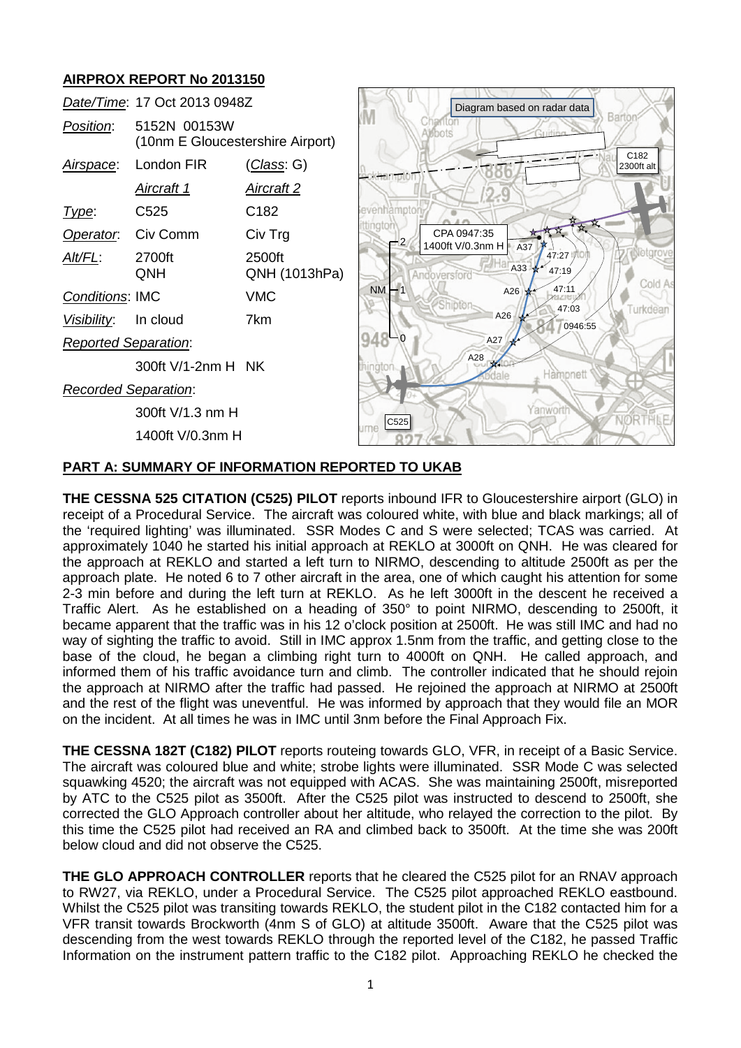# **AIRPROX REPORT No 2013150**

|                             | Date/Time: 17 Oct 2013 0948Z                     | Diagram based on radar data |              |                                 |            |                  |                    |
|-----------------------------|--------------------------------------------------|-----------------------------|--------------|---------------------------------|------------|------------------|--------------------|
| Position:                   | 5152N 00153W<br>(10nm E Gloucestershire Airport) |                             |              | BDOIS                           |            |                  | Barto              |
| Airspace:                   | London FIR                                       | ( <i>Class</i> : G)         |              |                                 |            |                  | C182<br>2300ft alt |
|                             | <u>Aircraft 1</u>                                | <b>Aircraft 2</b>           | champton     |                                 | 2.9        |                  |                    |
| Type:                       | C <sub>525</sub>                                 | C182                        | evenhamoto   |                                 |            |                  |                    |
| Operator.                   | Civ Comm                                         | Civ Trg                     | ttingto<br>2 | CPA 0947:35<br>1400ft V/0.3nm H |            |                  |                    |
| Alt/FL:                     | 2700ft<br>QNH                                    | 2500ft<br>QNH (1013hPa)     |              | Andoversford                    | A37<br>A33 | 47:27<br>47:19   |                    |
| <b>Conditions: IMC</b>      |                                                  | <b>VMC</b>                  | <b>NM</b>    | inipte                          | A26        | 47:11            | Cold A             |
| Visibility:                 | In cloud                                         | 7km                         |              |                                 | A26        | 47:03<br>0946:55 | Turkdean           |
| <b>Reported Separation:</b> |                                                  |                             | 948          |                                 | A27        |                  |                    |
|                             | 300ft V/1-2nm H NK                               |                             | hington.     | A28                             |            | Hàmpnett         |                    |
| <b>Recorded Separation:</b> |                                                  |                             |              |                                 |            |                  |                    |
|                             | C525                                             |                             |              | Yanwortl                        |            |                  |                    |
|                             |                                                  |                             |              |                                 |            |                  |                    |
|                             |                                                  |                             |              |                                 |            |                  |                    |

### **PART A: SUMMARY OF INFORMATION REPORTED TO UKAB**

**THE CESSNA 525 CITATION (C525) PILOT** reports inbound IFR to Gloucestershire airport (GLO) in receipt of a Procedural Service. The aircraft was coloured white, with blue and black markings; all of the 'required lighting' was illuminated. SSR Modes C and S were selected; TCAS was carried. At approximately 1040 he started his initial approach at REKLO at 3000ft on QNH. He was cleared for the approach at REKLO and started a left turn to NIRMO, descending to altitude 2500ft as per the approach plate. He noted 6 to 7 other aircraft in the area, one of which caught his attention for some 2-3 min before and during the left turn at REKLO. As he left 3000ft in the descent he received a Traffic Alert. As he established on a heading of 350° to point NIRMO, descending to 2500ft, it became apparent that the traffic was in his 12 o'clock position at 2500ft. He was still IMC and had no way of sighting the traffic to avoid. Still in IMC approx 1.5nm from the traffic, and getting close to the base of the cloud, he began a climbing right turn to 4000ft on QNH. He called approach, and informed them of his traffic avoidance turn and climb. The controller indicated that he should rejoin the approach at NIRMO after the traffic had passed. He rejoined the approach at NIRMO at 2500ft and the rest of the flight was uneventful. He was informed by approach that they would file an MOR on the incident. At all times he was in IMC until 3nm before the Final Approach Fix.

**THE CESSNA 182T (C182) PILOT** reports routeing towards GLO, VFR, in receipt of a Basic Service. The aircraft was coloured blue and white; strobe lights were illuminated. SSR Mode C was selected squawking 4520; the aircraft was not equipped with ACAS. She was maintaining 2500ft, misreported by ATC to the C525 pilot as 3500ft. After the C525 pilot was instructed to descend to 2500ft, she corrected the GLO Approach controller about her altitude, who relayed the correction to the pilot. By this time the C525 pilot had received an RA and climbed back to 3500ft. At the time she was 200ft below cloud and did not observe the C525.

**THE GLO APPROACH CONTROLLER** reports that he cleared the C525 pilot for an RNAV approach to RW27, via REKLO, under a Procedural Service. The C525 pilot approached REKLO eastbound. Whilst the C525 pilot was transiting towards REKLO, the student pilot in the C182 contacted him for a VFR transit towards Brockworth (4nm S of GLO) at altitude 3500ft. Aware that the C525 pilot was descending from the west towards REKLO through the reported level of the C182, he passed Traffic Information on the instrument pattern traffic to the C182 pilot. Approaching REKLO he checked the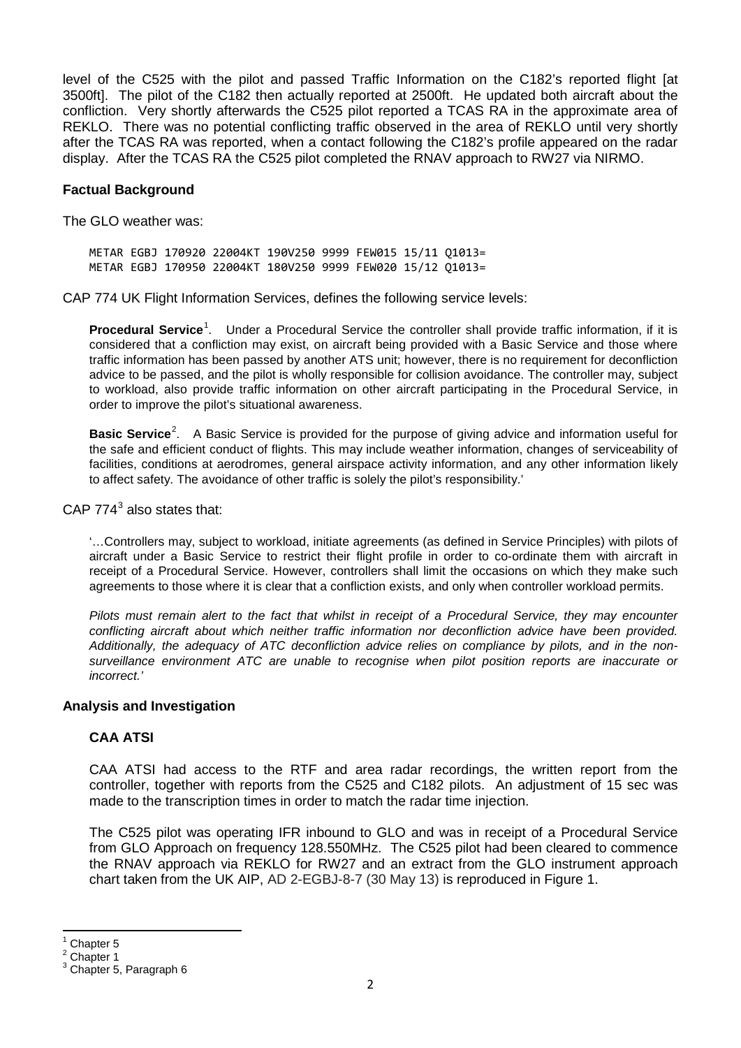level of the C525 with the pilot and passed Traffic Information on the C182's reported flight [at 3500ft]. The pilot of the C182 then actually reported at 2500ft. He updated both aircraft about the confliction. Very shortly afterwards the C525 pilot reported a TCAS RA in the approximate area of REKLO. There was no potential conflicting traffic observed in the area of REKLO until very shortly after the TCAS RA was reported, when a contact following the C182's profile appeared on the radar display. After the TCAS RA the C525 pilot completed the RNAV approach to RW27 via NIRMO.

#### **Factual Background**

The GLO weather was:

METAR EGBJ 170920 22004KT 190V250 9999 FEW015 15/11 Q1013= METAR EGBJ 170950 22004KT 180V250 9999 FEW020 15/12 Q1013=

CAP 774 UK Flight Information Services, defines the following service levels:

**Procedural Service**<sup>[1](#page-1-0)</sup>. Under a Procedural Service the controller shall provide traffic information, if it is considered that a confliction may exist, on aircraft being provided with a Basic Service and those where traffic information has been passed by another ATS unit; however, there is no requirement for deconfliction advice to be passed, and the pilot is wholly responsible for collision avoidance. The controller may, subject to workload, also provide traffic information on other aircraft participating in the Procedural Service, in order to improve the pilot's situational awareness.

Basic Service<sup>[2](#page-1-1)</sup>. A Basic Service is provided for the purpose of giving advice and information useful for the safe and efficient conduct of flights. This may include weather information, changes of serviceability of facilities, conditions at aerodromes, general airspace activity information, and any other information likely to affect safety. The avoidance of other traffic is solely the pilot's responsibility.'

CAP  $774<sup>3</sup>$  $774<sup>3</sup>$  $774<sup>3</sup>$  also states that:

'…Controllers may, subject to workload, initiate agreements (as defined in Service Principles) with pilots of aircraft under a Basic Service to restrict their flight profile in order to co-ordinate them with aircraft in receipt of a Procedural Service. However, controllers shall limit the occasions on which they make such agreements to those where it is clear that a confliction exists, and only when controller workload permits.

*Pilots must remain alert to the fact that whilst in receipt of a Procedural Service, they may encounter conflicting aircraft about which neither traffic information nor deconfliction advice have been provided. Additionally, the adequacy of ATC deconfliction advice relies on compliance by pilots, and in the nonsurveillance environment ATC are unable to recognise when pilot position reports are inaccurate or incorrect.'*

#### **Analysis and Investigation**

### **CAA ATSI**

CAA ATSI had access to the RTF and area radar recordings, the written report from the controller, together with reports from the C525 and C182 pilots. An adjustment of 15 sec was made to the transcription times in order to match the radar time injection.

The C525 pilot was operating IFR inbound to GLO and was in receipt of a Procedural Service from GLO Approach on frequency 128.550MHz. The C525 pilot had been cleared to commence the RNAV approach via REKLO for RW27 and an extract from the GLO instrument approach chart taken from the UK AIP, AD 2-EGBJ-8-7 (30 May 13) is reproduced in Figure 1.

<span id="page-1-2"></span><span id="page-1-1"></span>

<span id="page-1-0"></span><sup>1</sup> Chapter 5<br>
1 Chapter 1<br>
Chapter 5, Paragraph 6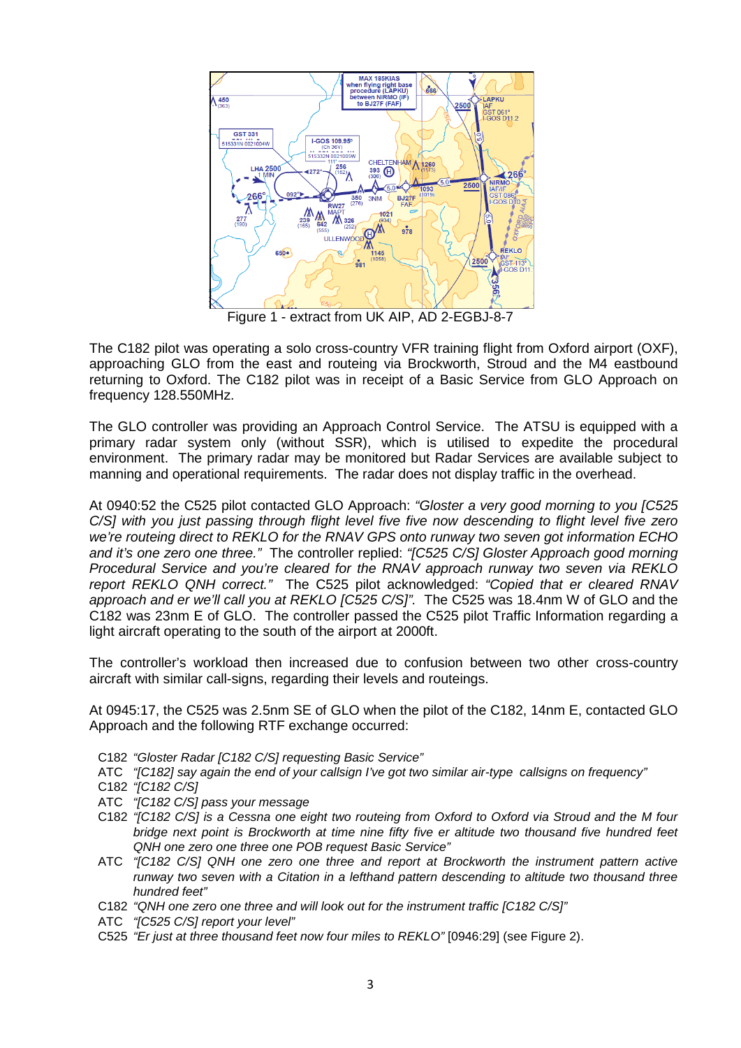

Figure 1 - extract from UK AIP, AD 2-EGBJ-8-7

The C182 pilot was operating a solo cross-country VFR training flight from Oxford airport (OXF), approaching GLO from the east and routeing via Brockworth, Stroud and the M4 eastbound returning to Oxford. The C182 pilot was in receipt of a Basic Service from GLO Approach on frequency 128.550MHz.

The GLO controller was providing an Approach Control Service. The ATSU is equipped with a primary radar system only (without SSR), which is utilised to expedite the procedural environment. The primary radar may be monitored but Radar Services are available subject to manning and operational requirements. The radar does not display traffic in the overhead.

At 0940:52 the C525 pilot contacted GLO Approach: *"Gloster a very good morning to you [C525 C/S] with you just passing through flight level five five now descending to flight level five zero we're routeing direct to REKLO for the RNAV GPS onto runway two seven got information ECHO and it's one zero one three."* The controller replied: *"[C525 C/S] Gloster Approach good morning Procedural Service and you're cleared for the RNAV approach runway two seven via REKLO report REKLO QNH correct."* The C525 pilot acknowledged: *"Copied that er cleared RNAV approach and er we'll call you at REKLO [C525 C/S]".* The C525 was 18.4nm W of GLO and the C182 was 23nm E of GLO. The controller passed the C525 pilot Traffic Information regarding a light aircraft operating to the south of the airport at 2000ft.

The controller's workload then increased due to confusion between two other cross-country aircraft with similar call-signs, regarding their levels and routeings.

At 0945:17, the C525 was 2.5nm SE of GLO when the pilot of the C182, 14nm E, contacted GLO Approach and the following RTF exchange occurred:

- C182 *"Gloster Radar [C182 C/S] requesting Basic Service"*
- ATC *"[C182] say again the end of your callsign I've got two similar air-type callsigns on frequency"*
- C182 *"[C182 C/S]*
- ATC *"[C182 C/S] pass your message*
- C182 *"[C182 C/S] is a Cessna one eight two routeing from Oxford to Oxford via Stroud and the M four bridge next point is Brockworth at time nine fifty five er altitude two thousand five hundred feet QNH one zero one three one POB request Basic Service"*
- ATC *"[C182 C/S] QNH one zero one three and report at Brockworth the instrument pattern active runway two seven with a Citation in a lefthand pattern descending to altitude two thousand three hundred feet"*
- C182 *"QNH one zero one three and will look out for the instrument traffic [C182 C/S]"*
- ATC *"[C525 C/S] report your level"*
- C525 *"Er just at three thousand feet now four miles to REKLO"* [0946:29] (see Figure 2).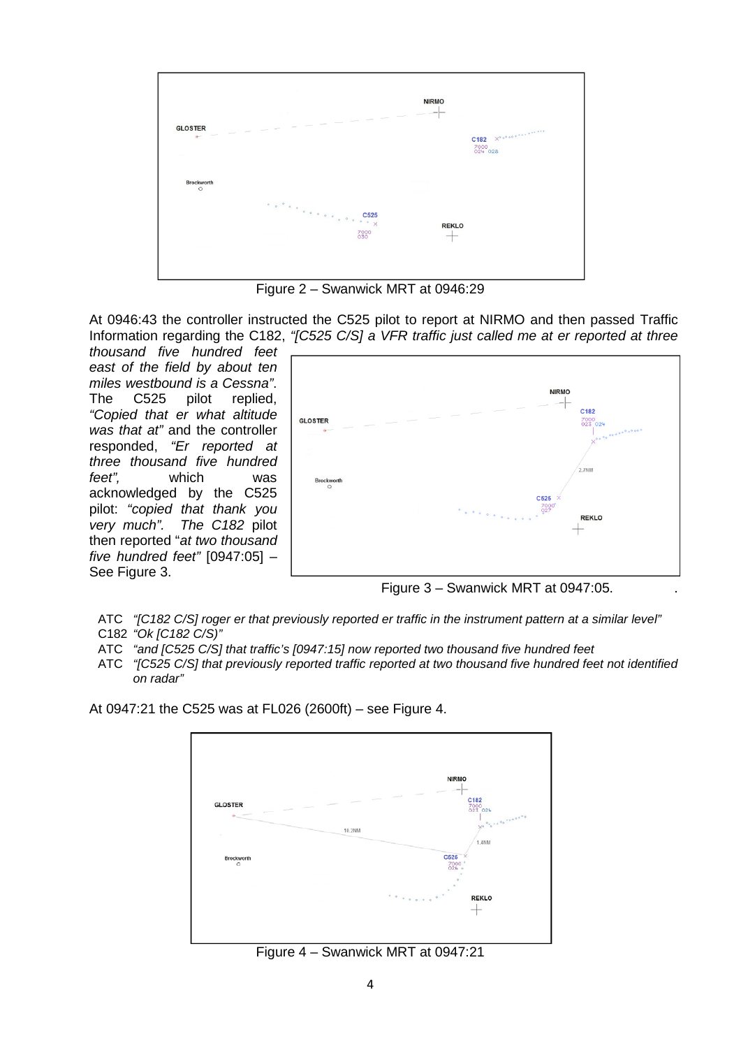

Figure 2 – Swanwick MRT at 0946:29

At 0946:43 the controller instructed the C525 pilot to report at NIRMO and then passed Traffic Information regarding the C182, *"[C525 C/S] a VFR traffic just called me at er reported at three* 

*thousand five hundred feet east of the field by about ten miles westbound is a Cessna"*. The C525 pilot replied, *"Copied that er what altitude was that at"* and the controller responded, *"Er reported at three thousand five hundred feet",* which was acknowledged by the C525 pilot: *"copied that thank you very much". The C182* pilot then reported "*at two thousand five hundred feet"* [0947:05] – See Figure 3.



Figure 3 – Swanwick MRT at 0947:05. .

- ATC *"[C182 C/S] roger er that previously reported er traffic in the instrument pattern at a similar level"* C182 *"Ok [C182 C/S)"*
- ATC *"and [C525 C/S] that traffic's [0947:15] now reported two thousand five hundred feet*
- ATC *"[C525 C/S] that previously reported traffic reported at two thousand five hundred feet not identified on radar"*

At 0947:21 the C525 was at FL026 (2600ft) – see Figure 4.



Figure 4 – Swanwick MRT at 0947:21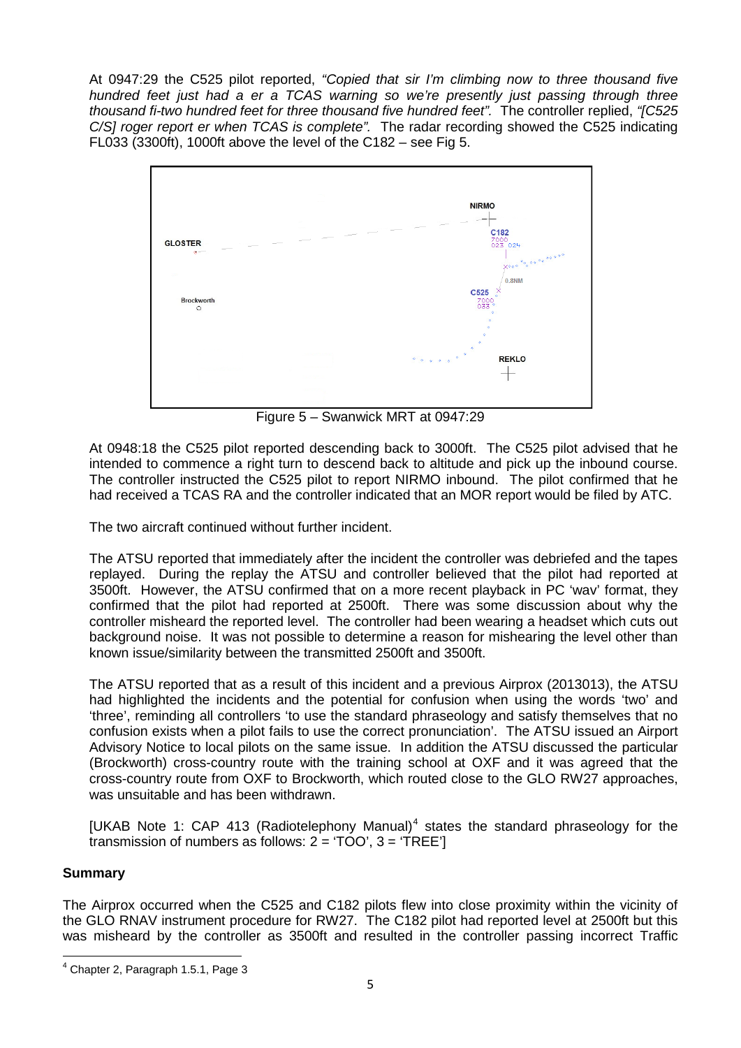At 0947:29 the C525 pilot reported, *"Copied that sir I'm climbing now to three thousand five hundred feet just had a er a TCAS warning so we're presently just passing through three thousand fi-two hundred feet for three thousand five hundred feet".* The controller replied, *"[C525 C/S] roger report er when TCAS is complete".* The radar recording showed the C525 indicating FL033 (3300ft), 1000ft above the level of the C182 – see Fig 5.



Figure 5 – Swanwick MRT at 0947:29

At 0948:18 the C525 pilot reported descending back to 3000ft. The C525 pilot advised that he intended to commence a right turn to descend back to altitude and pick up the inbound course. The controller instructed the C525 pilot to report NIRMO inbound. The pilot confirmed that he had received a TCAS RA and the controller indicated that an MOR report would be filed by ATC.

The two aircraft continued without further incident.

The ATSU reported that immediately after the incident the controller was debriefed and the tapes replayed. During the replay the ATSU and controller believed that the pilot had reported at 3500ft. However, the ATSU confirmed that on a more recent playback in PC 'wav' format, they confirmed that the pilot had reported at 2500ft. There was some discussion about why the controller misheard the reported level. The controller had been wearing a headset which cuts out background noise. It was not possible to determine a reason for mishearing the level other than known issue/similarity between the transmitted 2500ft and 3500ft.

The ATSU reported that as a result of this incident and a previous Airprox (2013013), the ATSU had highlighted the incidents and the potential for confusion when using the words 'two' and 'three', reminding all controllers 'to use the standard phraseology and satisfy themselves that no confusion exists when a pilot fails to use the correct pronunciation'. The ATSU issued an Airport Advisory Notice to local pilots on the same issue. In addition the ATSU discussed the particular (Brockworth) cross-country route with the training school at OXF and it was agreed that the cross-country route from OXF to Brockworth, which routed close to the GLO RW27 approaches, was unsuitable and has been withdrawn.

 $IUKAB$  Note 1: CAP [4](#page-4-0)13 (Radiotelephony Manual)<sup>4</sup> states the standard phraseology for the transmission of numbers as follows:  $2 = TOO'$ ,  $3 = TREE'$ ]

## **Summary**

The Airprox occurred when the C525 and C182 pilots flew into close proximity within the vicinity of the GLO RNAV instrument procedure for RW27. The C182 pilot had reported level at 2500ft but this was misheard by the controller as 3500ft and resulted in the controller passing incorrect Traffic

<span id="page-4-0"></span><sup>4</sup> Chapter 2, Paragraph 1.5.1, Page 3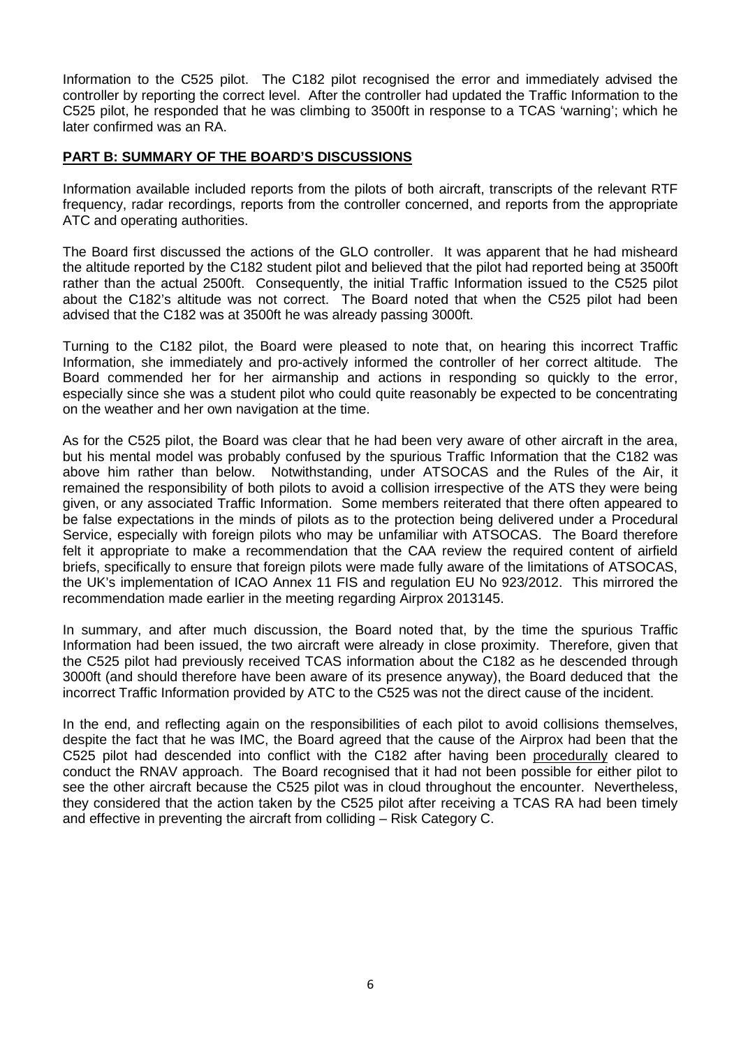Information to the C525 pilot. The C182 pilot recognised the error and immediately advised the controller by reporting the correct level. After the controller had updated the Traffic Information to the C525 pilot, he responded that he was climbing to 3500ft in response to a TCAS 'warning'; which he later confirmed was an RA.

## **PART B: SUMMARY OF THE BOARD'S DISCUSSIONS**

Information available included reports from the pilots of both aircraft, transcripts of the relevant RTF frequency, radar recordings, reports from the controller concerned, and reports from the appropriate ATC and operating authorities.

The Board first discussed the actions of the GLO controller. It was apparent that he had misheard the altitude reported by the C182 student pilot and believed that the pilot had reported being at 3500ft rather than the actual 2500ft. Consequently, the initial Traffic Information issued to the C525 pilot about the C182's altitude was not correct. The Board noted that when the C525 pilot had been advised that the C182 was at 3500ft he was already passing 3000ft.

Turning to the C182 pilot, the Board were pleased to note that, on hearing this incorrect Traffic Information, she immediately and pro-actively informed the controller of her correct altitude. The Board commended her for her airmanship and actions in responding so quickly to the error, especially since she was a student pilot who could quite reasonably be expected to be concentrating on the weather and her own navigation at the time.

As for the C525 pilot, the Board was clear that he had been very aware of other aircraft in the area, but his mental model was probably confused by the spurious Traffic Information that the C182 was above him rather than below. Notwithstanding, under ATSOCAS and the Rules of the Air, it remained the responsibility of both pilots to avoid a collision irrespective of the ATS they were being given, or any associated Traffic Information. Some members reiterated that there often appeared to be false expectations in the minds of pilots as to the protection being delivered under a Procedural Service, especially with foreign pilots who may be unfamiliar with ATSOCAS. The Board therefore felt it appropriate to make a recommendation that the CAA review the required content of airfield briefs, specifically to ensure that foreign pilots were made fully aware of the limitations of ATSOCAS, the UK's implementation of ICAO Annex 11 FIS and regulation EU No 923/2012. This mirrored the recommendation made earlier in the meeting regarding Airprox 2013145.

In summary, and after much discussion, the Board noted that, by the time the spurious Traffic Information had been issued, the two aircraft were already in close proximity. Therefore, given that the C525 pilot had previously received TCAS information about the C182 as he descended through 3000ft (and should therefore have been aware of its presence anyway), the Board deduced that the incorrect Traffic Information provided by ATC to the C525 was not the direct cause of the incident.

In the end, and reflecting again on the responsibilities of each pilot to avoid collisions themselves, despite the fact that he was IMC, the Board agreed that the cause of the Airprox had been that the C525 pilot had descended into conflict with the C182 after having been procedurally cleared to conduct the RNAV approach. The Board recognised that it had not been possible for either pilot to see the other aircraft because the C525 pilot was in cloud throughout the encounter. Nevertheless, they considered that the action taken by the C525 pilot after receiving a TCAS RA had been timely and effective in preventing the aircraft from colliding – Risk Category C.